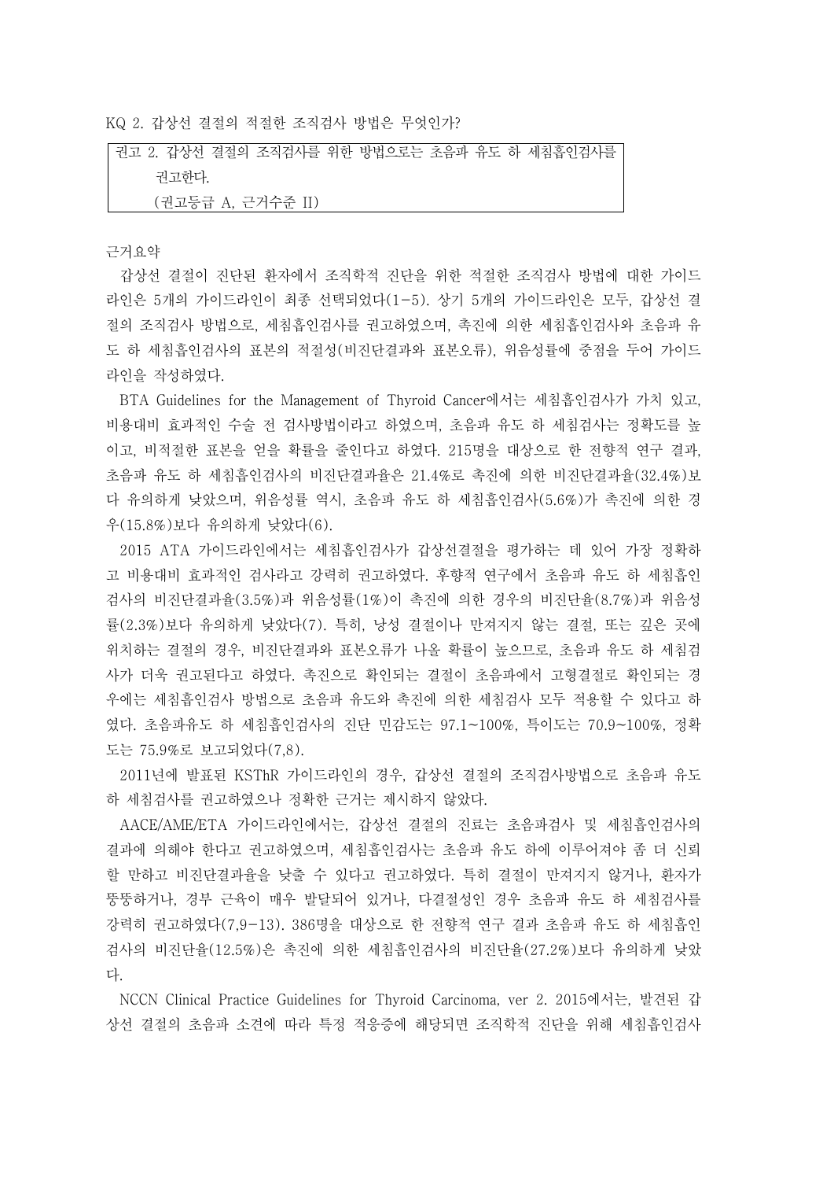KQ 2. 갑상선 결절의 적절한 조직검사 방법은 무엇인가?

권고 2. 갑상선 결절의 조직검사를 위한 방법으로는 초음파 유도 하 세침흡인검사를 권고한다. (권고등급 A, 근거수준 II)

## 근거요약

갑상선 결절이 진단된 환자에서 조직학적 진단을 위한 적절한 조직검사 방법에 대한 가이드 라인은 5개의 가이드라인이 최종 선택되었다(1-5). 상기 5개의 가이드라인은 모두, 갑상선 결 절의 조직검사 방법으로, 세침흡인검사를 권고하였으며, 촉진에 의한 세침흡인검사와 초음파 유 도 하 세침흡인검사의 표본의 적절성(비진단결과와 표본오류), 위음성률에 중점을 두어 가이드

라인을 작성하였다.<br>BTA Guidelines for the Management of Thyroid Cancer에서는 세침흡인검사가 가치 있고,<br>비용대비 효과적인 수술 전 검사방법이라고 하였으며, 초음파 유도 하 세침검사는 정확도를 높 이고, 비적절한 표본을 얻을 확률을 줄인다고 하였다. 215명을 대상으로 한 전향적 연구 결과,<br>초음파 유도 하 세침흡인검사의 비진단결과율은 21.4%로 촉진에 의한 비진단결과율(32.4%)보 다 유의하게 낮았으며, 위음성률 역시, 초음파 유도 하 세침흡인검사(5.6%)가 촉진에 의한 경 우(15.8%)보다 유의하게 낮았다(6).

2015 ATA 가이드라인에서는 세침흡인검사가 갑상선결절을 평가하는 데 있어 가장 정확하 고 비용대비 효과적인 검사라고 강력히 권고하였다. 후향적 연구에서 초음파 유도 하 세침흡인 검사의 비진단결과율(3.5%)과 위음성률(1%)이 촉진에 의한 경우의 비진단율(8.7%)과 위음성 률(2.3%)보다 유의하게 낮았다(7). 특히, 낭성 결절이나 만져지지 않는 결절, 또는 깊은 곳에 위치하는 결절의 경우, 비진단결과와 표본오류가 나올 확률이 높으므로, 초음파 유도 하 세침검 사가 더욱 권고된다고 하였다. 촉진으로 확인되는 결절이 초음파에서 고형결절로 확인되는 경 우에는 세침흡인검사 방법으로 초음파 유도와 촉진에 의한 세침검사 모두 적용할 수 있다고 하 였다. 초음파유도 하 세침흡인검사의 진단 민감도는 97.1~100%, 특이도는 70.9~100%, 정확 도는 75.9%로 보고되었다(7,8).

2011년에 발표된 KSThR 가이드라인의 경우, 갑상선 결절의 조직검사방법으로 초음파 유도 하 세침검사를 권고하였으나 정확한 근거는 제시하지 않았다.

AACE/AME/ETA 가이드라인에서는, 갑상선 결절의 진료는 초음파검사 및 세침흡인검사의 결과에 의해야 한다고 권고하였으며, 세침흡인검사는 초음파 유도 하에 이루어져야 좀 더 신뢰 할 만하고 비진단결과율을 낮출 수 있다고 권고하였다. 특히 결절이 만져지지 않거나, 환자가 뚱뚱하거나, 경부 근육이 매우 발달되어 있거나, 다결절성인 경우 초음파 유도 하 세침검사를 강력히 권고하였다(7,9-13). 386명을 대상으로 한 전향적 연구 결과 초음파 유도 하 세침흡인 검사의 비진단율(12.5%)은 촉진에 의한 세침흡인검사의 비진단율(27.2%)보다 유의하게 낮았 다.<br>NCCN Clinical Practice Guidelines for Thyroid Carcinoma, ver 2. 2015에서는, 발견된 갑

상선 결절의 초음파 소견에 따라 특정 적응증에 해당되면 조직학적 진단을 위해 세침흡인검사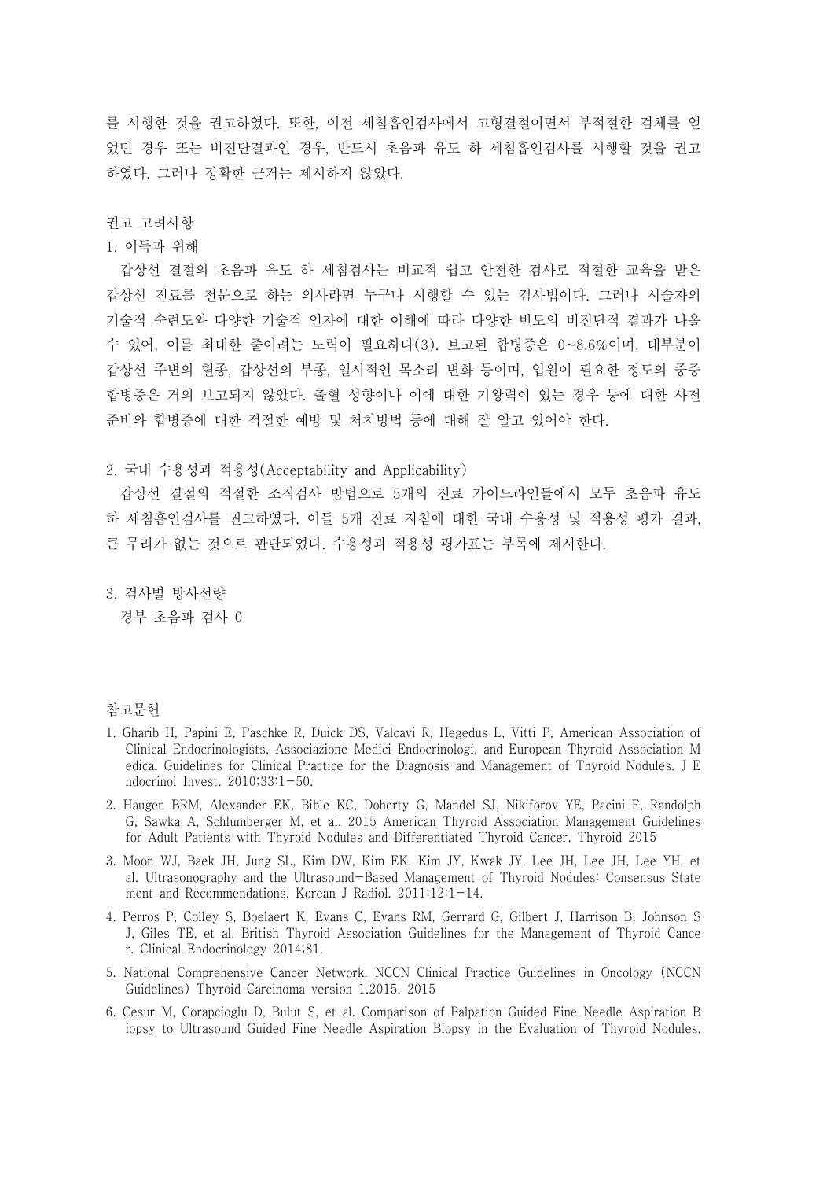를 시행한 것을 권고하였다. 또한, 이전 세침흡인검사에서 고형결절이면서 부적절한 검체를 얻 었던 경우 또는 비진단결과인 경우, 반드시 초음파 유도 하 세침흡인검사를 시행할 것을 권고 하였다. 그러나 정확한 근거는 제시하지 않았다.

## 권고 고려사항

1. 이득과 위해

갑상선 결절의 초음파 유도 하 세침검사는 비교적 쉽고 안전한 검사로 적절한 교육을 받은 갑상선 진료를 전문으로 하는 의사라면 누구나 시행할 수 있는 검사법이다. 그러나 시술자의 기술적 숙련도와 다양한 기술적 인자에 대한 이해에 따라 다양한 빈도의 비진단적 결과가 나올 수 있어, 이를 최대한 줄이려는 노력이 필요하다(3). 보고된 합병증은 0~8.6%이며, 대부분이 갑상선 주변의 혈종, 갑상선의 부종, 일시적인 목소리 변화 등이며, 입원이 필요한 정도의 중증 합병증은 거의 보고되지 않았다. 출혈 성향이나 이에 대한 기왕력이 있는 경우 등에 대한 사전 준비와 합병증에 대한 적절한 예방 및 처치방법 등에 대해 잘 알고 있어야 한다.

2. 국내 수용성과 적용성(Acceptability and Applicability)

갑상선 결절의 적절한 조직검사 방법으로 5개의 진료 가이드라인들에서 모두 초음파 유도 하 세침흡인검사를 권고하였다. 이들 5개 진료 지침에 대한 국내 수용성 및 적용성 평가 결과,<br>큰 무리가 없는 것으로 판단되었다. 수용성과 적용성 평가표는 부록에 제시한다.<br>3. 검사별 방사선량

경부 초음파 검사 0

## 참고문헌

- 1. Gharib H, Papini E, Paschke R, Duick DS, Valcavi R, Hegedus L, Vitti P, American Association of Clinical Endocrinologists, Associazione Medici Endocrinologi, and European Thyroid Association M edical Guidelines for Clinical Practice for the Diagnosis and Management of Thyroid Nodules. J E ndocrinol Invest. 2010;33:1-50.
- 2. Haugen BRM, Alexander EK, Bible KC, Doherty G, Mandel SJ, Nikiforov YE, Pacini F, Randolph G, Sawka A, Schlumberger M, et al. 2015 American Thyroid Association Management Guidelines for Adult Patients with Thyroid Nodules and Differentiated Thyroid Cancer. Thyroid 2015
- 3. Moon WJ, Baek JH, Jung SL, Kim DW, Kim EK, Kim JY, Kwak JY, Lee JH, Lee JH, Lee YH, et al. Ultrasonography and the Ultrasound-Based Management of Thyroid Nodules: Consensus State ment and Recommendations. Korean J Radiol. 2011;12:1-14.
- 4. Perros P, Colley S, Boelaert K, Evans C, Evans RM, Gerrard G, Gilbert J, Harrison B, Johnson S J, Giles TE, et al. British Thyroid Association Guidelines for the Management of Thyroid Cance r. Clinical Endocrinology 2014;81.
- 5. National Comprehensive Cancer Network. NCCN Clinical Practice Guidelines in Oncology (NCCN Guidelines) Thyroid Carcinoma version 1.2015. 2015
- 6. Cesur M, Corapcioglu D, Bulut S, et al. Comparison of Palpation Guided Fine Needle Aspiration B iopsy to Ultrasound Guided Fine Needle Aspiration Biopsy in the Evaluation of Thyroid Nodules.